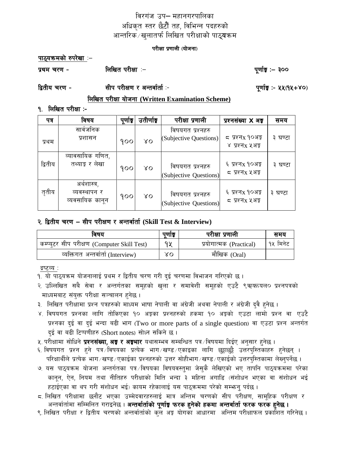### विरगंज उप– महानगरपालिका अधिकृत स्तर छैटौं तह, विभिन्न पदहरुको आन्तरिक ⁄ खुलातर्फ लिखित परीक्षाको पाठ्**य**क्रम

#### परीक्षा प्रणाली (योजना)

पाठ्यक्रमको रुपरेखा :-

लिखित परीक्षा :-प्रथम चरण -

पुर्णाङ्क :– ३००

द्वितीय चरण -सीप परीक्षण र अन्तर्वार्ता ≔ पूर्णाङ्क**ः ५५**(१५+४०)

लिखित परीक्षा योजना (Written Examination Scheme)

<u> १. लिखित परीक्षा :-</u>

| पत्र    | विषय                                            | पुणाङ्क | उतीर्णाइ    | परीक्षा प्रणाली                            | प्रश्नसंख्या <b>X</b> अड़                       | समय     |
|---------|-------------------------------------------------|---------|-------------|--------------------------------------------|-------------------------------------------------|---------|
| प्रथम   | सार्वजनिक<br>प्रशासन                            | 900     | $X_{\rm O}$ | विषयगत प्रश्नहरु<br>(Subjective Questions) | ८ प्रश्नx १०अङ्क<br>४ प्रश्नx ५अङ्क             | ३ घण्टा |
| द्वितीय | व्यावसायिक गणित,<br>तथ्याङ़ र लेखा              | 900     | XΟ          | विषयगत प्रश्नहरु<br>(Subjective Questions) | ६ प्रश्नx १०अङ्क<br>८ प्रश्नx ५अङ्ग             | ३ घण्टा |
| तृतीय   | अर्थशास्त्र,<br>व्यवस्थापन र<br>व्यवसायिक कानुन | 900     | XΟ          | विषयगत प्रश्नहरु<br>(Subjective Questions) | ६ प्रश्नx १०अङ् <del>ଡ</del><br>८ प्रश्नx ५अङ्ग | ३ घण्टा |

### २. द्वितीय चरण - सीप परीक्षण र अन्तर्वार्ता (Skill Test & Interview)

| ावषय                                        | पणाङ | परीक्षा प्रणाली         | समय      |
|---------------------------------------------|------|-------------------------|----------|
| कम्प्युटर सीप परीक्षण (Computer Skill Test) | 9 Y  | प्रयोगात्मक (Practical) | १५ मिनेट |
| व्यक्तिगत अन्तर्वार्ता (Interview)          | γO   | मौखिक (Oral)            |          |

द्रष्टव्य :

१. यो पाठ्यक्रम योजनालाई प्रथम र द्वितीय चरण गरी दुई चरणमा विभाजन गरिएको छ ।

- २. उल्लिखित सबै सेवा र अन्तर्गतका समुहको खुला र समावेशी समुहको एउटै ९ऋक्तयल० प्रश्नपत्रको माध्यमबाट संयुक्त परीक्षा सञ्चालन हुनेछ।
- ३. लिखित परीक्षामा प्रश्न पत्रहरुको माध्यम भाषा नेपाली वा अंग्रेजी अथवा नेपाली र अंग्रेजी दुवै हुनेछ ।
- ४. विषयगत प्रश्नका लागि तोकिएका १० अङ्कल प्रश्नहरुको हकमा १० अङ्गको एउटा लामो प्रश्न वा एउटै प्रश्नका दुई वा दुई भन्दा बढी भाग (Two or more parts of a single question) वा एउटा प्रश्न अन्तर्गत दुई वा बढी टिप्पणीहरु (Short notes) सोध्न सकिने छ ।

५. परीक्षामा सोधिने **प्रश्नसंख्या, अङ्क र अङ्गभार** यथासम्भव सम्बन्धित पत्र ∕विषयमा दिईए अनुसार हुनेछ ।

- ६ विषयगत प्रश्न हुने पत्र विषयका प्रत्येक भाग खण्ड एकाइका लागि छुट्टाछुट्टै उत्तरपुस्तिकाहरु हुनेछन् । परिक्षार्थीले प्रत्येक भाग∕खण्ड ⁄ एकाईका प्रश्नहरुको उत्तर सोहीभाग ∕खण्ड ∕ एकाईको उत्तरपुस्तिकामा लेख्नुपर्नेछ ।
- ७. यस पाठ्यक्रम योजना अन्तर्गतका पत्र ∕विषयका विषयवस्तुमा जेसुकै लेखिएको भए तापनि पाठ्यक्रममा परेका कानुन, ऐन, नियम तथा नीतिहरु परीक्षाको मिति भन्दा ३ महिना अगाडि (संशोधन भएका वा संशोधन भई हटाईएका वा थप गरी संशोधन भई) कायम रहेकालाई यस पाठुकममा परेको सम्भान् पर्दछ ।
- 5. लिखित परीक्षामा छनौट भएका उम्मेदवारहरुलाई मात्र अन्तिम चरणको सीप परीक्षण, सामूहिक परीक्षण र अन्तर्वार्तामा सम्मिलित गराइनेछ । **अन्तर्वार्ताको पूर्णाङ्क फरक हुनेको हकमा अन्तर्वार्ता फरक फरक हुनेछ ।**

९. लिखित परीक्षा र द्वितीय चरणको अन्तर्वार्ताको कुले अङ्क योगका आधारमा अन्तिम परीक्षाफल प्रकाशित गरिनेछ ।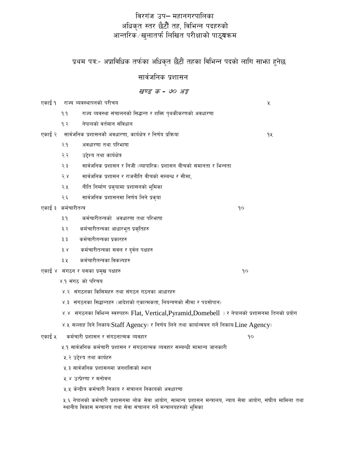### विरगंज उप– महानगरपालिका अधिकृत स्तर छैटौं तह, विभिन्न पदहरुको आन्तरिक ∕ खुलातर्फ लिखित परीक्षाको पाठ्**य**क्रम

प्रथम पत्र:- अप्राविधिक तर्फका अधिकृत छैंटौं तहका विभिन्न पदको लागि साभा हुनेछ

सार्वजनिक प्रशासन

### खण्ड क - ७० अङ्क

एकाई १ राज्य व्यवस्थापनको परीचय

- $9.9$ राज्य व्यवस्था संचालनको सिद्धान्त र शक्ति पृथकीकरणको अवधारणा
- नेपालको वर्तमान संविधान  $92$
- एकाई २ सार्वजनिक प्रशासनको अवधारणा, कार्यक्षेत्र र निर्णय प्रक्रिया
	- अवधारणा तथा परिभाषा  $9.9$
	- उद्देश्य तथा कार्यक्षेत्र २.२
	- २३ सार्वजनिक प्रशासन र निजी (व्यापारिक) प्रशासन बीचको समानता र भिन्नता
	- सार्वजनिक प्रशासन र राजनीति वीचको सम्बन्ध र सीमा,  $5.8$
	- नीति निर्माण प्रकृयामा प्रशासनको भूमिका २.५
	- सार्वजनिक प्रशासनमा निर्णय लिने प्रकृया २.६

एकाई ३ कर्मचारीतन्त्र

- कर्मचारीतन्त्रको अवधारणा तथा परिभाषा  $3.9$
- ३.२ कर्मचारीतन्त्रका आधारभूत प्रकृतिहरु
- ३३ कर्मचारीतन्त्रका प्रकारहरु
- $3^{\circ}$ कर्मचारीतन्त्रका सवल र दुर्वल पक्षहरु
- कर्मचारीतन्त्रका विकल्पहरु ३.५
- एकाई ४ संगठन र यसका प्रमुख पक्षहरु
	- ४.१ संगठ को परिचय
	- ४.२ संगठनका किसिमहरु तथा संगठन गठनका आधारहरु
	- ४.३ संगठनका सिद्धान्तहरु (आदेशको एकात्मकता, नियन्त्रणको सीमा र पदसोपान)
	- ४.४ संगठनका विभिन्न स्वरुपहरु( Flat, Vertical,Pyramid,Domebell )र नेपालको प्रशासनमा तिनको प्रयोग
	- ४.५ सल्लाह दिने निकाय(Staff Agency) र निर्णय लिने तथा कार्यान्वयन गर्ने निकाय(Line Agency)
- एकाई ५ कर्मचारी प्रशासन र संगठनात्मक व्यवहार
	- ५.१ सार्वजनिक कर्मचारी प्रशासन र संगठनात्मक व्यवहार सम्बन्धी सामान्य जानकारी
	- ५.२ उद्देश्य तथा कार्यहरु
	- ५.३ सार्वजनिक प्रशासनमा जनशक्तिको स्थान
	- ५४ उत्पेरणा र मनोवल
	- ५.५ केन्द्रीय कर्मचारी निकाय र संचालन निकायको अवधारणा

५.६ नेपालको कर्मचारी प्रशासनमा लोक सेवा आयोग, सामान्य प्रशासन मन्त्रालय, न्याय सेवा आयोग, संघीय मामिला तथा स्थानीय विकास मन्त्रालय तथा सेवा संचालन गर्ने मन्त्रालयहरुको भूमिका

 $90$ 

 $90$ 

 $90$ 

Κ

92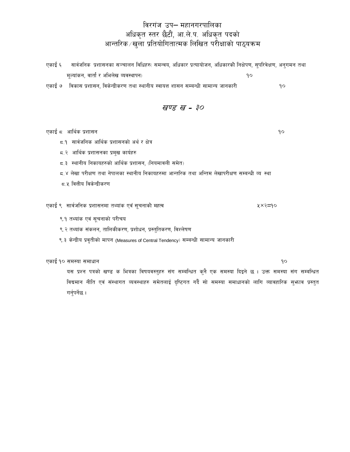# विरगंज उप– महानगरपालिका ्त्यास्ति । स्टार्क्ष्म्यास्ति । स्टार्क्ष्म्यास्ति ।<br>आन्तरिक ∕ खुला प्रतियोगितात्मक लिखित परीक्षाको पाठ्यक्रम

| एकाई ६      | सार्वजनिक प्रशासनका सञ्चालन विधिहरु( समन्वय, अधिकार प्रत्यायोजन, अधिकारको निक्षेपण, सुपरिवेक्षण, अनुगमन तथा |                     |  |  |  |  |  |  |
|-------------|-------------------------------------------------------------------------------------------------------------|---------------------|--|--|--|--|--|--|
|             | मूल्यांकन, वार्ता र अभिलेख व्यवस्थापन)<br>90                                                                |                     |  |  |  |  |  |  |
| एकाई ७      | विकास प्रशासन, विकेन्द्रीकरण तथा स्थानीय स्वायत्त शासन सम्बन्धी सामान्य जानकारी                             | १०                  |  |  |  |  |  |  |
|             |                                                                                                             |                     |  |  |  |  |  |  |
| खण्ड ख - ३० |                                                                                                             |                     |  |  |  |  |  |  |
|             |                                                                                                             |                     |  |  |  |  |  |  |
|             | एकाई ८ आर्थिक प्रशासन                                                                                       | 9٥                  |  |  |  |  |  |  |
|             | 5.9 सार्वजनिक आर्थिक प्रशासनको अर्थ र क्षेत्र                                                               |                     |  |  |  |  |  |  |
|             | ८.२ आर्थिक प्रशासनका प्रमुख कार्यहरु                                                                        |                     |  |  |  |  |  |  |
|             | 5.३ स्थानीय निकायहरुको आर्थिक प्रशासन, (नियमावली समेत)                                                      |                     |  |  |  |  |  |  |
|             | 5.४ लेखा परीक्षण तथा नेपालका स्थानीय निकायहरुमा आन्तरिक तथा अन्तिम लेखापरीक्षण सम्बन्धी व्य स्था            |                     |  |  |  |  |  |  |
|             | ८.५ वित्तीय विकेन्द्रीकरण                                                                                   |                     |  |  |  |  |  |  |
|             |                                                                                                             |                     |  |  |  |  |  |  |
|             | एकाई ९  सार्वजनिक प्रशासनमा तथ्यांक एवं सूचनाको महत्व                                                       | ५ $\times$ २ $=$ १० |  |  |  |  |  |  |
|             | ९.१ तथ्यांक एवं सूचनाको परीचय                                                                               |                     |  |  |  |  |  |  |
|             | ९.२ तथ्यांक संकलन, तालिकीकरण, प्रशोधन, प्रस्तुतिकरण, विश्लेषण                                               |                     |  |  |  |  |  |  |
|             | ९.३ केन्द्रीय प्रवृतीको मापन (Measures of Central Tendency) सम्बन्धी सामान्य जानकारी                        |                     |  |  |  |  |  |  |
|             |                                                                                                             |                     |  |  |  |  |  |  |

एकाई १० समस्या समाधान

यस प्रश्न पत्रको खण्ड क भित्रका विषयवस्तुहरु संग सम्बन्धित कुनै एक समस्या दिइने छ । उक्त समस्या संग सम्बन्धित विद्यमान नीति एवं संस्थागत व्यवस्थाहरु समेतलाई दृष्टिगत गर्दै सो समस्या समाधानको लागि व्यावहारिक सुभ्राव प्रस्तुत गर्नुपर्नेछ ।

 $\mathsf{q}\circ$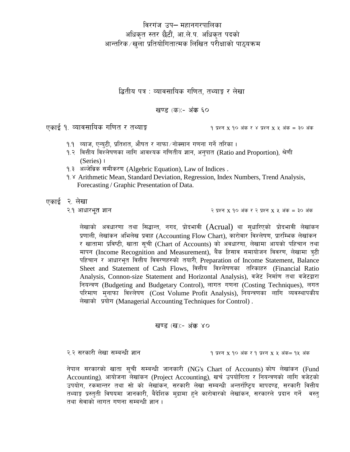विरगंज उप– महानगरपालिका अधिकृत स्तर छैटौं, आ.ले.प. अधिकृत पदको आन्तरिक⁄खुला प्रतियोगितात्मक लिखित परीक्षाको पाठ्यक्रम

द्धितीय पत्र : व्यावसायिक गणित. तथ्याङ्क र लेखा

खण्ड (क):- अंक ६०

एकाई १. व्यावसायिक गणित र तथ्याङ्क

9 प्रश्न X 90 अंक र ४ प्रश्न X ५ अंक = ३० अंक

- १.१ =व्याज, एन्युटी, प्रतिशत, औषत र नाफा ∕ नोक्सान गणना गर्ने तरिका ।
- १.२ वित्तीय विश्लेषणका लागि आवश्यक गणितीय ज्ञान, अनुपात (Ratio and Proportion), श्रेणी  $(Series)$
- १.३ अल्जेब्रिक समीकरण (Algebric Equation), Law of Indices.
- 9. <sup>Y</sup> Arithmetic Mean, Standard Deviation, Regression, Index Numbers, Trend Analysis, Forecasting / Graphic Presentation of Data.

एकाई २ लेखा

लेखाको अवधारणा तथा सिद्धान्त, नगद, प्रोदभावी (Acrual) था सुधारिएको प्रोदभावी लेखांकन प्रणाली, लेखांकन अभिलेख प्रवाह (Accounting Flow Chart), कारोवार विश्लेषण, प्रारम्भिक लेखांकन र खातामा प्रविष्टी, खाता सूची (Chart of Accounts) को अवधारणा, लेखामा आयको पहिचान तथा मापन (Income Recognition and Measurement), बैंक हिसाव समायोजन विवरण, लेखामा त्र्टी पहिचान र आधारभूत वित्तीय विवरणहरुको तयारी, Preparation of Income Statement, Balance Sheet and Statement of Cash Flows, वित्तीय विश्लेषणका तरिकाहरु (Financial Ratio Analysis, Connon-size Statement and Horizontal Analysis), वजेट निर्माण तथा वजेटद्वारा नियन्त्रण (Budgeting and Budgetary Control), लागत गणना (Costing Techniques), लगत परिमाण मुनाफा विश्लेषण (Cost Volume Profit Analysis), नियन्त्रणका लागि व्यवस्थापकीय लेखाको प्रयोग (Managerial Accounting Techniques for Control).

खण्ड (ख):- अंक ४०

२.२ सरकारी लेखा सम्बन्धी ज्ञान

9 प्रश्न x 90 अंक र 9 प्रश्न x ५ अंक= 9५ अंक

नेपाल सरकारको खाता सूची सम्बन्धी जानकारी (NG's Chart of Accounts) कोष लेखांकन (Fund Accounting), आयोजना लेखांकन (Project Accounting), खर्च उपयोगिता र नियन्त्रणको लागि वजेटको उपयोग, रकमान्तर तथा सो को लेखांकन, सरकारी लेखा सम्बन्धी अन्तर्राष्ट्रिय मापदण्ड, सरकारी वित्तीय तथ्याङ्क प्रस्तुती विषयमा जानकारी, बैदेशिक मुद्रामा हुने कारोवारको लेखांकन, सरकारले प्रदान गर्ने वस्तु तथा सेवाको लागत गणना सम्बन्धी ज्ञान ।

२.१ आधारभूत ज्ञान

२ प्रश्न  $X$  १० अंक र २ प्रश्न  $X$  ५ अंक = ३० अंक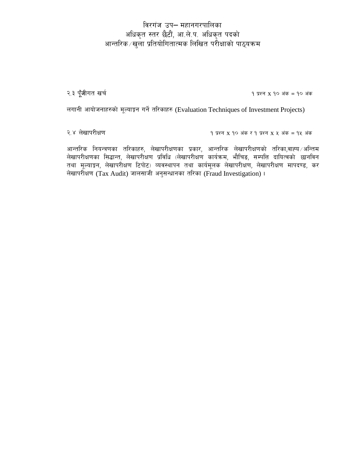## विरगंज उप- महानगरपालिका अधिकृत स्तर छैटौं, आ.ले.प. अधिकृत पदको आन्तरिक∕खुला प्रतियोगितात्मक लिखित परीक्षाको पाठ्यक्रम

२.३ पूँजीगत खर्च

 $9 \times 7$  प्रश्न X  $90 \times 8 = 90 \times 8 = 9$ 

लगानी आयोजनाहरुको मूल्याङ्कन गर्ने तरिकाहरु (Evaluation Techniques of Investment Projects)

२.४ लेखापरीक्षण

१ प्रश्न  $X$  १० अंक र १ प्रश्न  $X$  ५ अंक = १५ अंक

आन्तरिक नियन्त्रणका तरिकाहरु, लेखापरीक्षणका प्रकार, आन्तरिक लेखापरीक्षणको तरिका,वाह्य ⁄अन्तिम लेखापरीक्षणका सिद्धान्त, लेखापरीक्षण प्रविधि (लेखापरीक्षण कार्यक्रम, भौचिङ, सम्पत्ति दायित्वको छानविन तथा मूल्याङ्कन, लेखापरीक्षण टिपोट) व्यवस्थापन तथा कार्यमूलक लेखापरीक्षण, लेखापरीक्षण मापदण्ड, कर लेखापरीक्षण (Tax Audit) जालसाजी अनुसन्धानका तरिका (Fraud Investigation)।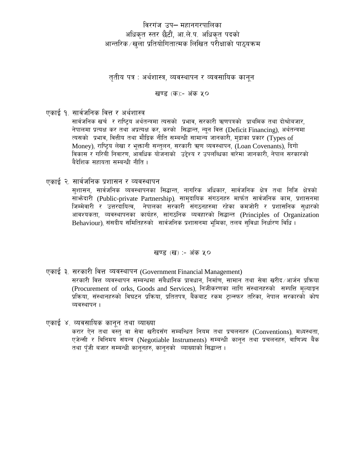### विरगंज उप– महानगरपालिका अधिकृत स्तर छैटौं, आ.ले.प. अधिकृत पदको आन्तरिक⁄खुला प्रतियोगितात्मक लिखित परीक्षाको पाठ्यक्रम

तुतीय पत्र : अर्थशास्त्र, व्यवस्थापन र व्यवसायिक कानुन

खण्ड (क):- अंक ५०

एकाई १. सार्वजनिक वित्त र अर्थशास्त्र

सार्वजनिक खर्च र राष्टिय अर्थतन्त्रमा त्यसको प्रभाव, सरकारी ऋणपत्रको प्राथमिक तथा दोश्रोबजार, नेपालमा प्रत्यक्ष कर तथा अप्रत्यक्ष कर, करको सिद्धान्त, न्यन वित्त (Deficit Financing), अर्थतन्त्रमा त्यसको प्रभाव, वित्तीय तथा मौद्रिक नीति सम्बन्धी सामान्य जानकारी, मुद्राका प्रकार (Types of Money), राष्ट्रिय लेखा र भूक्तानी सन्तुलन, सरकारी ऋण व्यवस्थापन, (Loan Covenants), दिगो विकास र गरिबी निवारण, आंवधिक योजनाको उद्देश्य र उपलब्धिका वारेमा जानकारी, नेपाल सरकारको बैदेशिक सहायता सम्बन्धी नीति ।

एकाई २. सार्वजनिक प्रशासन र व्यवस्थापन

सुशासन, सार्वजनिक व्यवस्थापनका सिद्धान्त, नागरिक अधिकार, सार्वजनिक क्षेत्र तथा निजि क्षेत्रको साभ्रेदारी (Public-private Partnership), सामुदायिक संगठनहरु मार्फत सार्वजनिक काम, प्रशासनमा जिम्मेवारी र उत्तरदायित्व, नेपालका सरकारी संगठनहरुमा रहेका कमजोरी र प्रशासनिक सुधारको आवश्यकता, व्यवस्थापनका कार्यहरु, सांगठनिक व्यवहारको सिद्धान्त (Principles of Organization Behaviour), संसदीय समितिहरुको सार्वजनिक प्रशासनमा भुमिका, तलब सुविधा निर्धारण विधि।

खण्ड (ख) :- अंक ५०

- एकाई ३. सरकारी वित्त व्यवस्थापन (Government Financial Management) सरकारी वित्त व्यवस्थापन सम्बन्धमा संबैधानिक प्रावधान, निर्माण, सामान तथा सेवा खरीद ∕आर्जन प्रक्रिया (Procurement of orks, Goods and Services), निजीकरणका लागि संस्थानहरुको सम्पत्ति मूल्याङून प्रक्रिया, संस्थानहरुको विघटन प्रक्रिया, प्रतितपत्र, बैंकबाट रकम ट्रान्स्फर तरिका, नेपाल सरकारको कोष व्यवस्थापन ।
- एकाई ४. व्यवसायिक कानून तथा व्याख्या करार ऐन तथा वस्तु वा सेवा खरीदसँग सम्बन्धित नियम तथा प्रचलनहरु (Conventions), मध्यस्थता, एजेन्सी र विनिमय संयन्त्र (Negotiable Instruments) सम्बन्धी कानुन तथा प्रचलनहरु, वाणिज्य बैंक तथा पँजी बजार सम्बन्धी कानुनहरु, कानुनको व्याख्याको सिद्धान्त ।